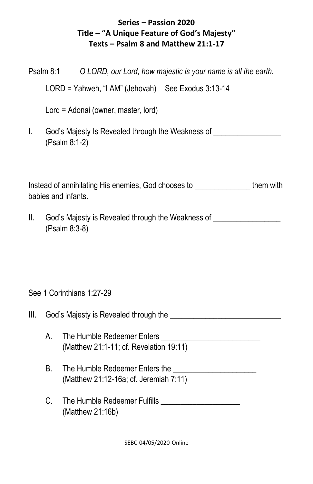## **Series – Passion 2020 Title – "A Unique Feature of God's Majesty" Texts – Psalm 8 and Matthew 21:1-17**

|                                                                                                      | Psalm 8:1                                                                                         |                                                    | O LORD, our Lord, how majestic is your name is all the earth.                    |  |
|------------------------------------------------------------------------------------------------------|---------------------------------------------------------------------------------------------------|----------------------------------------------------|----------------------------------------------------------------------------------|--|
|                                                                                                      |                                                                                                   | LORD = Yahweh, "I AM" (Jehovah) See Exodus 3:13-14 |                                                                                  |  |
|                                                                                                      | Lord = Adonai (owner, master, lord)                                                               |                                                    |                                                                                  |  |
| T.                                                                                                   | God's Majesty Is Revealed through the Weakness of ______________________________<br>(Psalm 8:1-2) |                                                    |                                                                                  |  |
| Instead of annihilating His enemies, God chooses to ________________them with<br>babies and infants. |                                                                                                   |                                                    |                                                                                  |  |
| II.                                                                                                  | (Psalm 8:3-8)                                                                                     |                                                    | God's Majesty is Revealed through the Weakness of ______________________________ |  |
| See 1 Corinthians 1:27-29                                                                            |                                                                                                   |                                                    |                                                                                  |  |
| III.                                                                                                 |                                                                                                   | God's Majesty is Revealed through the              |                                                                                  |  |

- A. The Humble Redeemer Enters \_\_\_\_\_\_\_\_\_\_\_\_\_\_\_\_\_\_\_\_\_\_\_\_\_ (Matthew 21:1-11; cf. Revelation 19:11)
- B. The Humble Redeemer Enters the **Election Contract Contract Contract Contract Contract Contract Contract Contract Contract Contract Contract Contract Contract Contract Contract Contract Contract Contract Contract Contrac** (Matthew 21:12-16a; cf. Jeremiah 7:11)
- C. The Humble Redeemer Fulfills \_\_\_\_\_\_\_\_\_\_\_\_\_\_\_\_\_\_\_\_ (Matthew 21:16b)